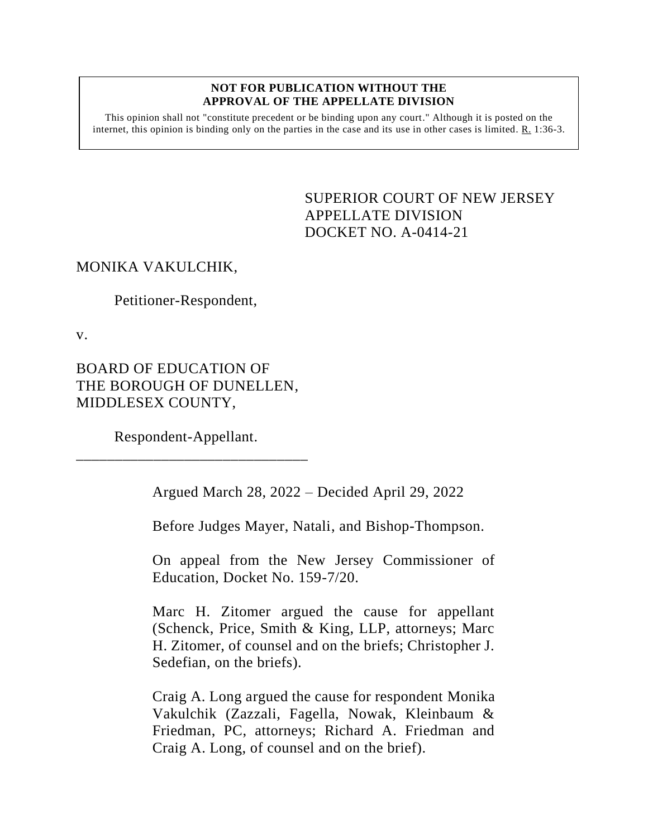#### **NOT FOR PUBLICATION WITHOUT THE APPROVAL OF THE APPELLATE DIVISION**

This opinion shall not "constitute precedent or be binding upon any court." Although it is posted on the internet, this opinion is binding only on the parties in the case and its use in other cases is limited.  $R_1$  1:36-3.

> <span id="page-0-0"></span>SUPERIOR COURT OF NEW JERSEY APPELLATE DIVISION DOCKET NO. A-0414-21

# MONIKA VAKULCHIK,

Petitioner-Respondent,

v.

BOARD OF EDUCATION OF THE BOROUGH OF DUNELLEN, MIDDLESEX COUNTY,

Respondent-Appellant. \_\_\_\_\_\_\_\_\_\_\_\_\_\_\_\_\_\_\_\_\_\_\_\_\_\_\_\_\_\_

Argued March 28, 2022 – Decided April 29, 2022

Before Judges Mayer, Natali, and Bishop-Thompson.

On appeal from the New Jersey Commissioner of Education, Docket No. 159-7/20.

Marc H. Zitomer argued the cause for appellant (Schenck, Price, Smith & King, LLP, attorneys; Marc H. Zitomer, of counsel and on the briefs; Christopher J. Sedefian, on the briefs).

Craig A. Long argued the cause for respondent Monika Vakulchik (Zazzali, Fagella, Nowak, Kleinbaum & Friedman, PC, attorneys; Richard A. Friedman and Craig A. Long, of counsel and on the brief).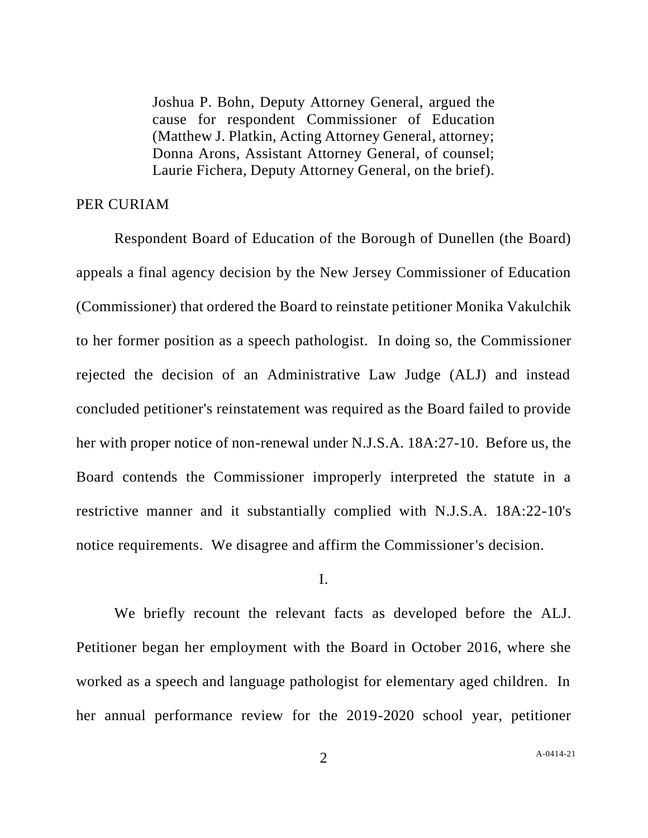Joshua P. Bohn, Deputy Attorney General, argued the cause for respondent Commissioner of Education (Matthew J. Platkin, Acting Attorney General, attorney; Donna Arons, Assistant Attorney General, of counsel; Laurie Fichera, Deputy Attorney General, on the brief).

## PER CURIAM

Respondent Board of Education of the Borough of Dunellen (the Board) appeals a final agency decision by the New Jersey Commissioner of Education (Commissioner) that ordered the Board to reinstate petitioner Monika Vakulchik to her former position as a speech pathologist. In doing so, the Commissioner rejected the decision of an Administrative Law Judge (ALJ) and instead concluded petitioner's reinstatement was required as the Board failed to provide her with proper notice of non-renewal under N.J.S.A. 18A:27-10. Before us, the Board contends the Commissioner improperly interpreted the statute in a restrictive manner and it substantially complied with N.J.S.A. 18A:22-10's notice requirements. We disagree and affirm the Commissioner's decision.

#### I.

We briefly recount the relevant facts as developed before the ALJ. Petitioner began her employment with the Board in October 2016, where she worked as a speech and language pathologist for elementary aged children. In her annual performance review for the 2019-2020 school year, petitioner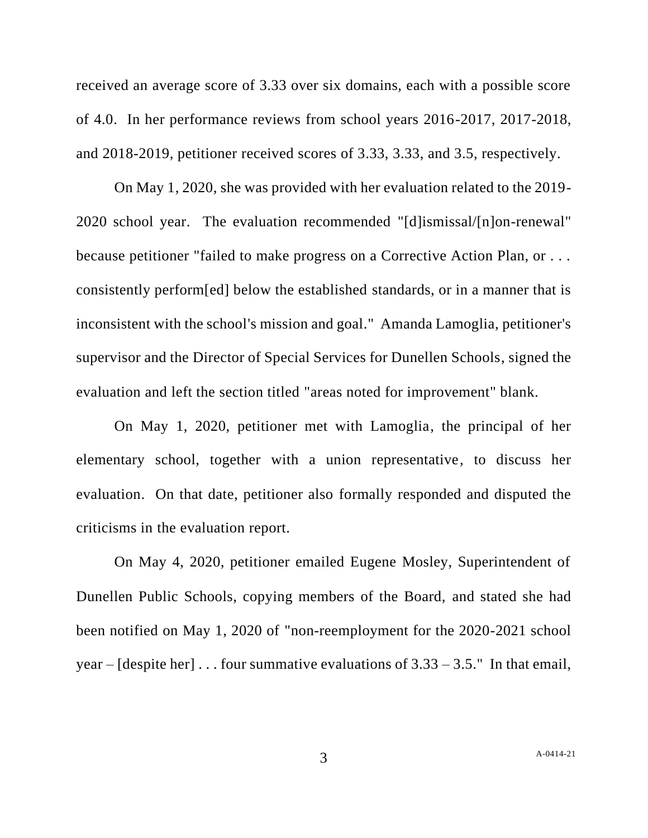received an average score of 3.33 over six domains, each with a possible score of 4.0. In her performance reviews from school years 2016-2017, 2017-2018, and 2018-2019, petitioner received scores of 3.33, 3.33, and 3.5, respectively.

On May 1, 2020, she was provided with her evaluation related to the 2019- 2020 school year. The evaluation recommended "[d]ismissal/[n]on-renewal" because petitioner "failed to make progress on a Corrective Action Plan, or . . . consistently perform[ed] below the established standards, or in a manner that is inconsistent with the school's mission and goal." Amanda Lamoglia, petitioner's supervisor and the Director of Special Services for Dunellen Schools, signed the evaluation and left the section titled "areas noted for improvement" blank.

On May 1, 2020, petitioner met with Lamoglia, the principal of her elementary school, together with a union representative, to discuss her evaluation. On that date, petitioner also formally responded and disputed the criticisms in the evaluation report.

On May 4, 2020, petitioner emailed Eugene Mosley, Superintendent of Dunellen Public Schools, copying members of the Board, and stated she had been notified on May 1, 2020 of "non-reemployment for the 2020-2021 school year –  $[degree her] \dots$  four summative evaluations of  $3.33 - 3.5$ ." In that email,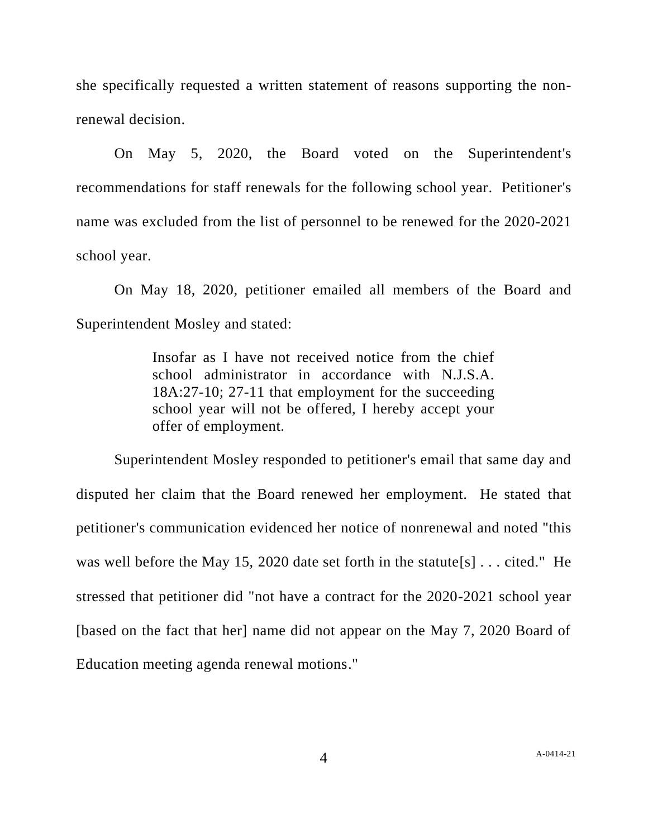she specifically requested a written statement of reasons supporting the nonrenewal decision.

On May 5, 2020, the Board voted on the Superintendent's recommendations for staff renewals for the following school year. Petitioner's name was excluded from the list of personnel to be renewed for the 2020-2021 school year.

On May 18, 2020, petitioner emailed all members of the Board and Superintendent Mosley and stated:

> Insofar as I have not received notice from the chief school administrator in accordance with N.J.S.A. 18A:27-10; 27-11 that employment for the succeeding school year will not be offered, I hereby accept your offer of employment.

Superintendent Mosley responded to petitioner's email that same day and disputed her claim that the Board renewed her employment. He stated that petitioner's communication evidenced her notice of nonrenewal and noted "this was well before the May 15, 2020 date set forth in the statute[s] . . . cited." He stressed that petitioner did "not have a contract for the 2020-2021 school year [based on the fact that her] name did not appear on the May 7, 2020 Board of Education meeting agenda renewal motions."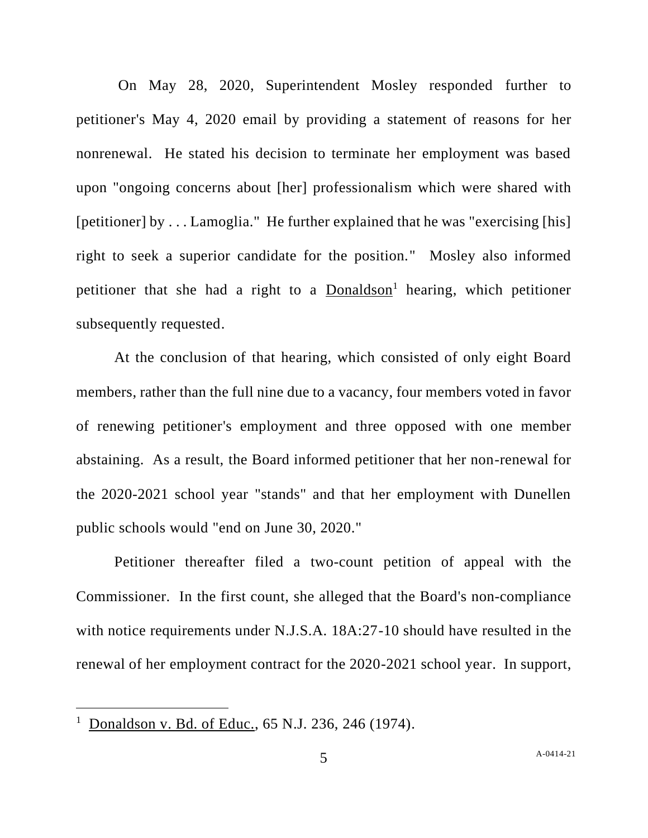On May 28, 2020, Superintendent Mosley responded further to petitioner's May 4, 2020 email by providing a statement of reasons for her nonrenewal. He stated his decision to terminate her employment was based upon "ongoing concerns about [her] professionalism which were shared with [petitioner] by . . . Lamoglia." He further explained that he was "exercising [his] right to seek a superior candidate for the position." Mosley also informed petitioner that she had a right to a  $Donaldson<sup>1</sup>$  hearing, which petitioner subsequently requested.

At the conclusion of that hearing, which consisted of only eight Board members, rather than the full nine due to a vacancy, four members voted in favor of renewing petitioner's employment and three opposed with one member abstaining. As a result, the Board informed petitioner that her non-renewal for the 2020-2021 school year "stands" and that her employment with Dunellen public schools would "end on June 30, 2020."

Petitioner thereafter filed a two-count petition of appeal with the Commissioner. In the first count, she alleged that the Board's non-compliance with notice requirements under N.J.S.A. 18A:27-10 should have resulted in the renewal of her employment contract for the 2020-2021 school year. In support,

<sup>&</sup>lt;sup>1</sup> Donaldson v. Bd. of Educ., 65 N.J. 236, 246 (1974).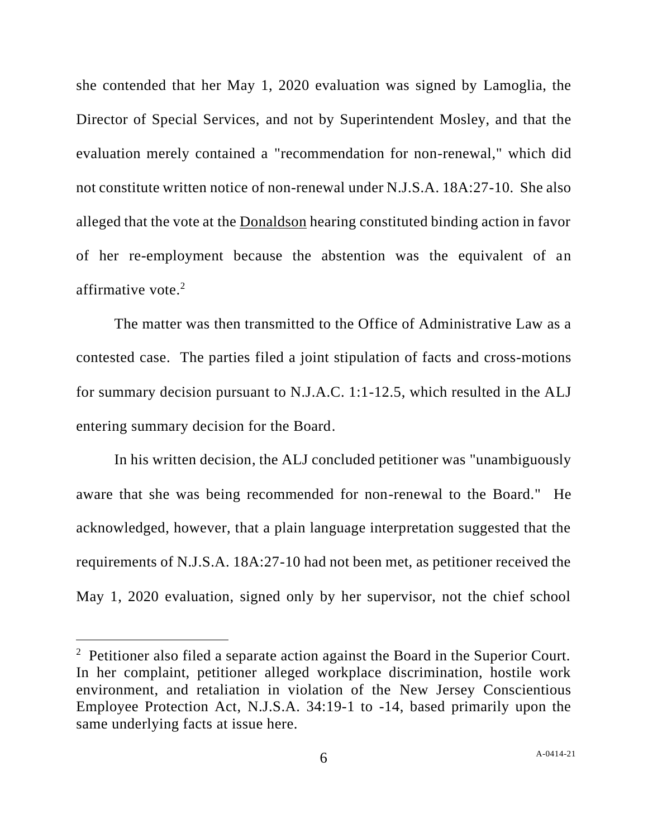she contended that her May 1, 2020 evaluation was signed by Lamoglia, the Director of Special Services, and not by Superintendent Mosley, and that the evaluation merely contained a "recommendation for non-renewal," which did not constitute written notice of non-renewal under N.J.S.A. 18A:27-10. She also alleged that the vote at the Donaldson hearing constituted binding action in favor of her re-employment because the abstention was the equivalent of an affirmative vote. $2$ 

The matter was then transmitted to the Office of Administrative Law as a contested case. The parties filed a joint stipulation of facts and cross-motions for summary decision pursuant to N.J.A.C. 1:1-12.5, which resulted in the ALJ entering summary decision for the Board.

In his written decision, the ALJ concluded petitioner was "unambiguously aware that she was being recommended for non-renewal to the Board." He acknowledged, however, that a plain language interpretation suggested that the requirements of N.J.S.A. 18A:27-10 had not been met, as petitioner received the May 1, 2020 evaluation, signed only by her supervisor, not the chief school

<sup>&</sup>lt;sup>2</sup> Petitioner also filed a separate action against the Board in the Superior Court. In her complaint, petitioner alleged workplace discrimination, hostile work environment, and retaliation in violation of the New Jersey Conscientious Employee Protection Act, N.J.S.A. 34:19-1 to -14, based primarily upon the same underlying facts at issue here.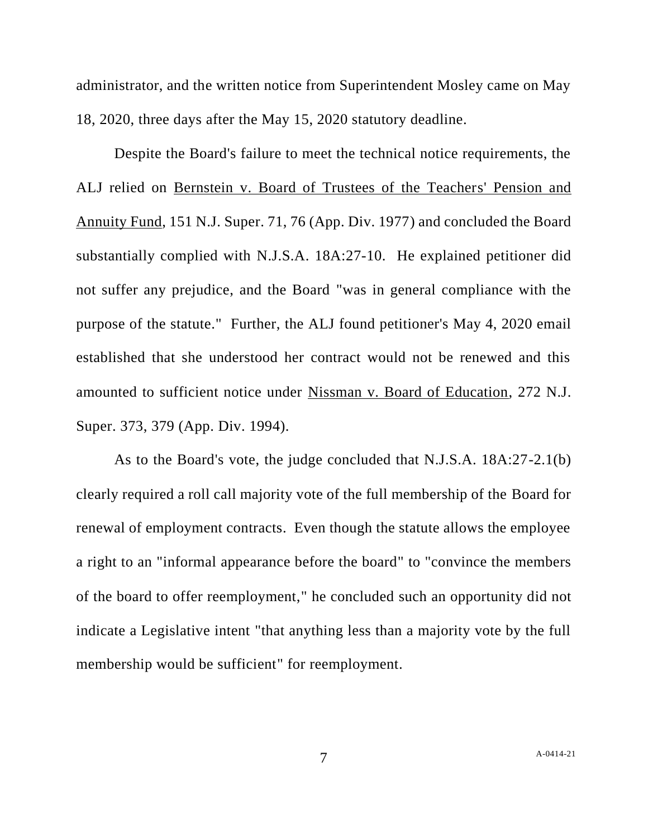administrator, and the written notice from Superintendent Mosley came on May 18, 2020, three days after the May 15, 2020 statutory deadline.

Despite the Board's failure to meet the technical notice requirements, the ALJ relied on Bernstein v. Board of Trustees of the Teachers' Pension and Annuity Fund, 151 N.J. Super. 71, 76 (App. Div. 1977) and concluded the Board substantially complied with N.J.S.A. 18A:27-10. He explained petitioner did not suffer any prejudice, and the Board "was in general compliance with the purpose of the statute." Further, the ALJ found petitioner's May 4, 2020 email established that she understood her contract would not be renewed and this amounted to sufficient notice under Nissman v. Board of Education, 272 N.J. Super. 373, 379 (App. Div. 1994).

As to the Board's vote, the judge concluded that N.J.S.A. 18A:27-2.1(b) clearly required a roll call majority vote of the full membership of the Board for renewal of employment contracts. Even though the statute allows the employee a right to an "informal appearance before the board" to "convince the members of the board to offer reemployment," he concluded such an opportunity did not indicate a Legislative intent "that anything less than a majority vote by the full membership would be sufficient" for reemployment.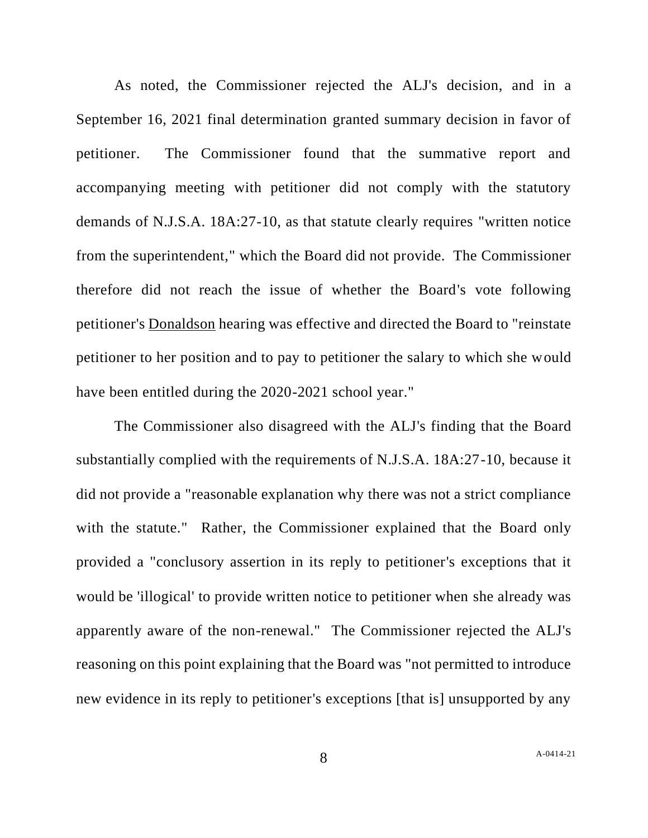As noted, the Commissioner rejected the ALJ's decision, and in a September 16, 2021 final determination granted summary decision in favor of petitioner. The Commissioner found that the summative report and accompanying meeting with petitioner did not comply with the statutory demands of N.J.S.A. 18A:27-10, as that statute clearly requires "written notice from the superintendent," which the Board did not provide. The Commissioner therefore did not reach the issue of whether the Board's vote following petitioner's Donaldson hearing was effective and directed the Board to "reinstate petitioner to her position and to pay to petitioner the salary to which she would have been entitled during the 2020-2021 school year."

The Commissioner also disagreed with the ALJ's finding that the Board substantially complied with the requirements of N.J.S.A. 18A:27-10, because it did not provide a "reasonable explanation why there was not a strict compliance with the statute." Rather, the Commissioner explained that the Board only provided a "conclusory assertion in its reply to petitioner's exceptions that it would be 'illogical' to provide written notice to petitioner when she already was apparently aware of the non-renewal." The Commissioner rejected the ALJ's reasoning on this point explaining that the Board was "not permitted to introduce new evidence in its reply to petitioner's exceptions [that is] unsupported by any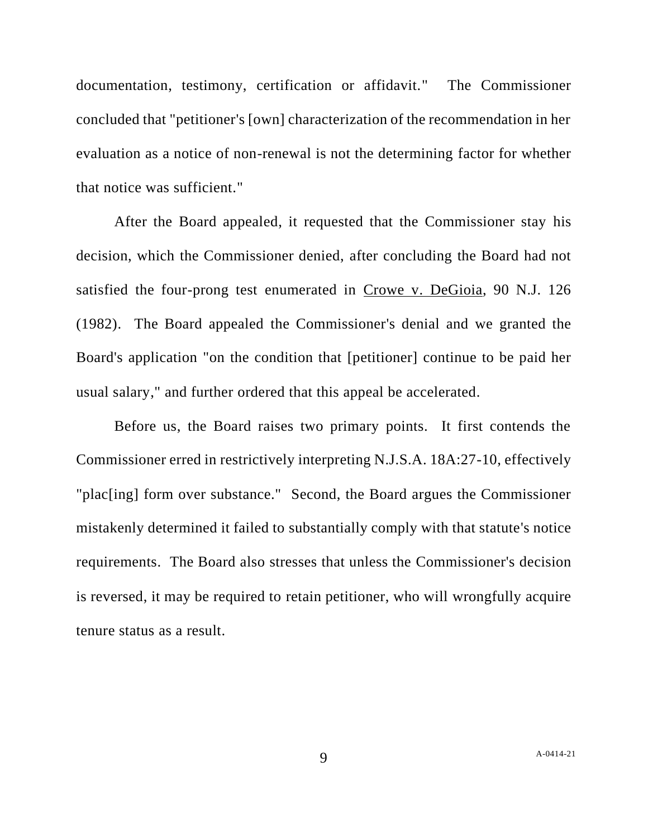documentation, testimony, certification or affidavit." The Commissioner concluded that "petitioner's [own] characterization of the recommendation in her evaluation as a notice of non-renewal is not the determining factor for whether that notice was sufficient."

After the Board appealed, it requested that the Commissioner stay his decision, which the Commissioner denied, after concluding the Board had not satisfied the four-prong test enumerated in Crowe v. DeGioia, 90 N.J. 126 (1982). The Board appealed the Commissioner's denial and we granted the Board's application "on the condition that [petitioner] continue to be paid her usual salary," and further ordered that this appeal be accelerated.

Before us, the Board raises two primary points. It first contends the Commissioner erred in restrictively interpreting N.J.S.A. 18A:27-10, effectively "plac[ing] form over substance." Second, the Board argues the Commissioner mistakenly determined it failed to substantially comply with that statute's notice requirements. The Board also stresses that unless the Commissioner's decision is reversed, it may be required to retain petitioner, who will wrongfully acquire tenure status as a result.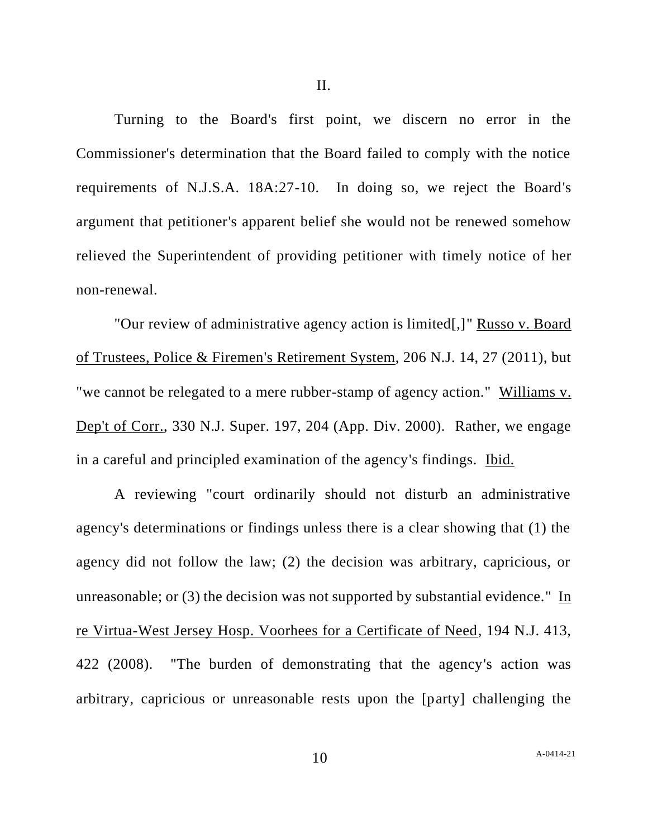II.

Turning to the Board's first point, we discern no error in the Commissioner's determination that the Board failed to comply with the notice requirements of N.J.S.A. 18A:27-10. In doing so, we reject the Board's argument that petitioner's apparent belief she would not be renewed somehow relieved the Superintendent of providing petitioner with timely notice of her non-renewal.

"Our review of administrative agency action is limited[,]" Russo v. Board of Trustees, Police & Firemen's Retirement System, 206 N.J. 14, 27 (2011), but "we cannot be relegated to a mere rubber-stamp of agency action." Williams v. Dep't of Corr., 330 N.J. Super. 197, 204 (App. Div. 2000). Rather, we engage in a careful and principled examination of the agency's findings. Ibid.

A reviewing "court ordinarily should not disturb an administrative agency's determinations or findings unless there is a clear showing that (1) the agency did not follow the law; (2) the decision was arbitrary, capricious, or unreasonable; or (3) the decision was not supported by substantial evidence." In re Virtua-West Jersey Hosp. Voorhees for a Certificate of Need, 194 N.J. 413, 422 (2008). "The burden of demonstrating that the agency's action was arbitrary, capricious or unreasonable rests upon the [party] challenging the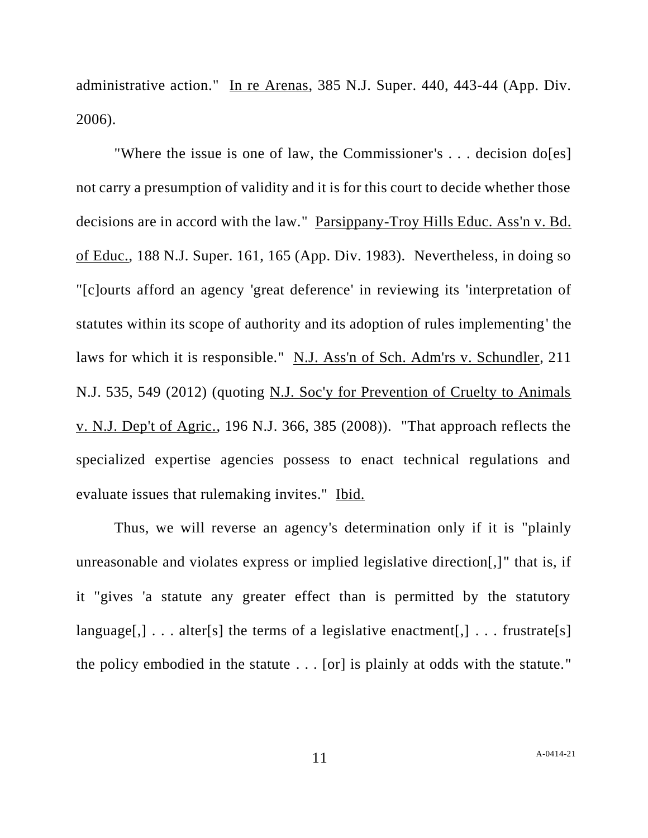administrative action." In re Arenas, 385 N.J. Super. 440, 443-44 (App. Div. 2006).

"Where the issue is one of law, the Commissioner's . . . decision do[es] not carry a presumption of validity and it is for this court to decide whether those decisions are in accord with the law." Parsippany-Troy Hills Educ. Ass'n v. Bd. of Educ., 188 N.J. Super. 161, 165 (App. Div. 1983). Nevertheless, in doing so "[c]ourts afford an agency 'great deference' in reviewing its 'interpretation of statutes within its scope of authority and its adoption of rules implementing' the laws for which it is responsible." N.J. Ass'n of Sch. Adm'rs v. Schundler, 211 N.J. 535, 549 (2012) (quoting N.J. Soc'y for Prevention of Cruelty to Animals v. N.J. Dep't of Agric., 196 N.J. 366, 385 (2008)). "That approach reflects the specialized expertise agencies possess to enact technical regulations and evaluate issues that rulemaking invites." Ibid.

Thus, we will reverse an agency's determination only if it is "plainly unreasonable and violates express or implied legislative direction[,]" that is, if it "gives 'a statute any greater effect than is permitted by the statutory language[,]  $\ldots$  alter[s] the terms of a legislative enactment[,]  $\ldots$  frustrate[s] the policy embodied in the statute . . . [or] is plainly at odds with the statute."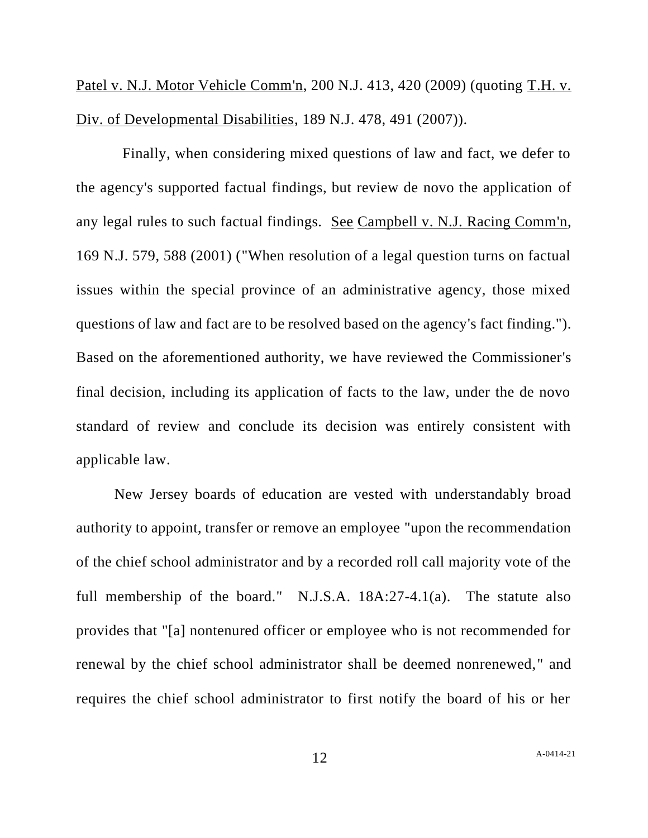Patel v. N.J. Motor Vehicle Comm'n, 200 N.J. 413, 420 (2009) (quoting T.H. v. Div. of Developmental Disabilities, 189 N.J. 478, 491 (2007)).

 Finally, when considering mixed questions of law and fact, we defer to the agency's supported factual findings, but review de novo the application of any legal rules to such factual findings. See Campbell v. N.J. Racing Comm'n, 169 N.J. 579, 588 (2001) ("When resolution of a legal question turns on factual issues within the special province of an administrative agency, those mixed questions of law and fact are to be resolved based on the agency's fact finding."). Based on the aforementioned authority, we have reviewed the Commissioner's final decision, including its application of facts to the law, under the de novo standard of review and conclude its decision was entirely consistent with applicable law.

New Jersey boards of education are vested with understandably broad authority to appoint, transfer or remove an employee "upon the recommendation of the chief school administrator and by a recorded roll call majority vote of the full membership of the board." N.J.S.A. 18A:27-4.1(a). The statute also provides that "[a] nontenured officer or employee who is not recommended for renewal by the chief school administrator shall be deemed nonrenewed," and requires the chief school administrator to first notify the board of his or her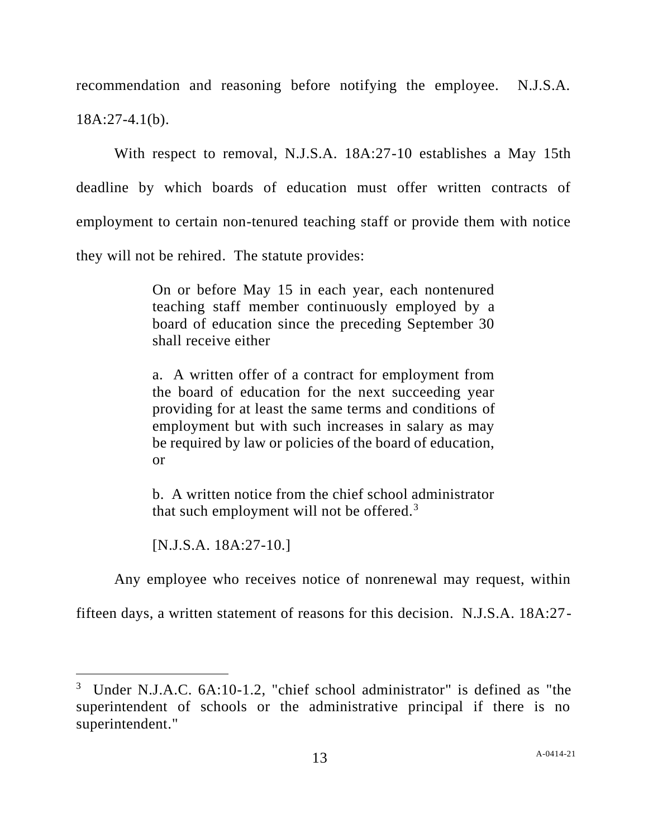recommendation and reasoning before notifying the employee. N.J.S.A. 18A:27-4.1(b).

With respect to removal, N.J.S.A. 18A:27-10 establishes a May 15th deadline by which boards of education must offer written contracts of employment to certain non-tenured teaching staff or provide them with notice they will not be rehired. The statute provides:

> On or before May 15 in each year, each nontenured teaching staff member continuously employed by a board of education since the preceding September 30 shall receive either

> a. A written offer of a contract for employment from the board of education for the next succeeding year providing for at least the same terms and conditions of employment but with such increases in salary as may be required by law or policies of the board of education, or

> b. A written notice from the chief school administrator that such employment will not be offered.<sup>3</sup>

[N.J.S.A. 18A:27-10.]

Any employee who receives notice of nonrenewal may request, within

fifteen days, a written statement of reasons for this decision. N.J.S.A. 18A:27-

<sup>&</sup>lt;sup>3</sup> Under N.J.A.C.  $6A:10-1.2$ . "chief school administrator" is defined as "the superintendent of schools or the administrative principal if there is no superintendent."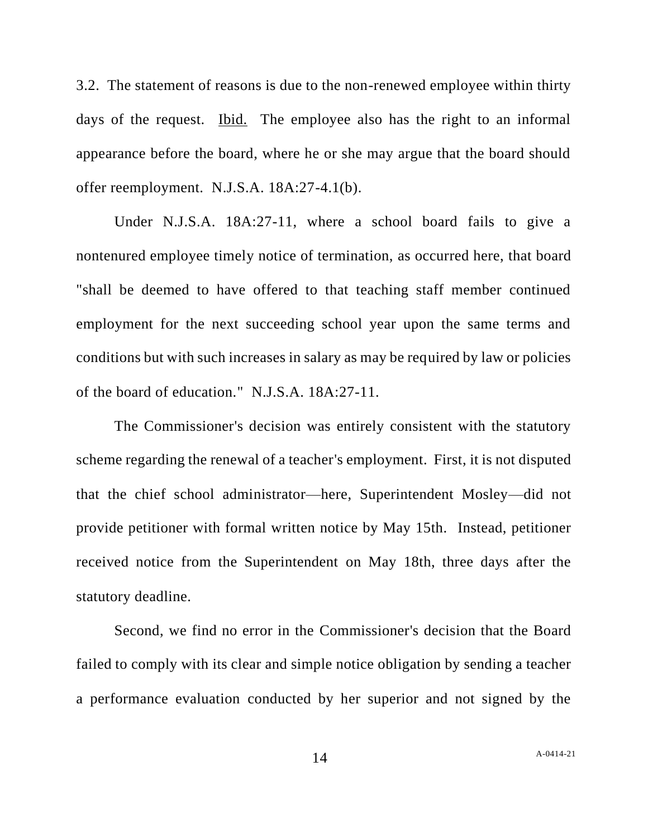3.2. The statement of reasons is due to the non-renewed employee within thirty days of the request. Ibid. The employee also has the right to an informal appearance before the board, where he or she may argue that the board should offer reemployment. N.J.S.A. 18A:27-4.1(b).

Under N.J.S.A. 18A:27-11, where a school board fails to give a nontenured employee timely notice of termination, as occurred here, that board "shall be deemed to have offered to that teaching staff member continued employment for the next succeeding school year upon the same terms and conditions but with such increases in salary as may be required by law or policies of the board of education." N.J.S.A. 18A:27-11.

The Commissioner's decision was entirely consistent with the statutory scheme regarding the renewal of a teacher's employment. First, it is not disputed that the chief school administrator—here, Superintendent Mosley—did not provide petitioner with formal written notice by May 15th. Instead, petitioner received notice from the Superintendent on May 18th, three days after the statutory deadline.

Second, we find no error in the Commissioner's decision that the Board failed to comply with its clear and simple notice obligation by sending a teacher a performance evaluation conducted by her superior and not signed by the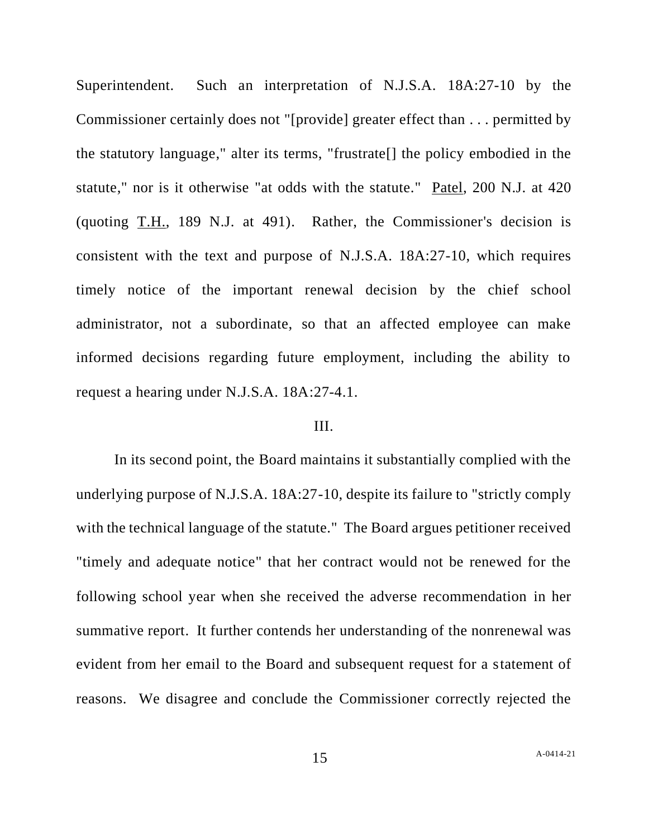Superintendent. Such an interpretation of N.J.S.A. 18A:27-10 by the Commissioner certainly does not "[provide] greater effect than . . . permitted by the statutory language," alter its terms, "frustrate[] the policy embodied in the statute," nor is it otherwise "at odds with the statute." Patel, 200 N.J. at 420 (quoting T.H., 189 N.J. at 491). Rather, the Commissioner's decision is consistent with the text and purpose of N.J.S.A. 18A:27-10, which requires timely notice of the important renewal decision by the chief school administrator, not a subordinate, so that an affected employee can make informed decisions regarding future employment, including the ability to request a hearing under N.J.S.A. 18A:27-4.1.

### III.

In its second point, the Board maintains it substantially complied with the underlying purpose of N.J.S.A. 18A:27-10, despite its failure to "strictly comply with the technical language of the statute." The Board argues petitioner received "timely and adequate notice" that her contract would not be renewed for the following school year when she received the adverse recommendation in her summative report. It further contends her understanding of the nonrenewal was evident from her email to the Board and subsequent request for a statement of reasons. We disagree and conclude the Commissioner correctly rejected the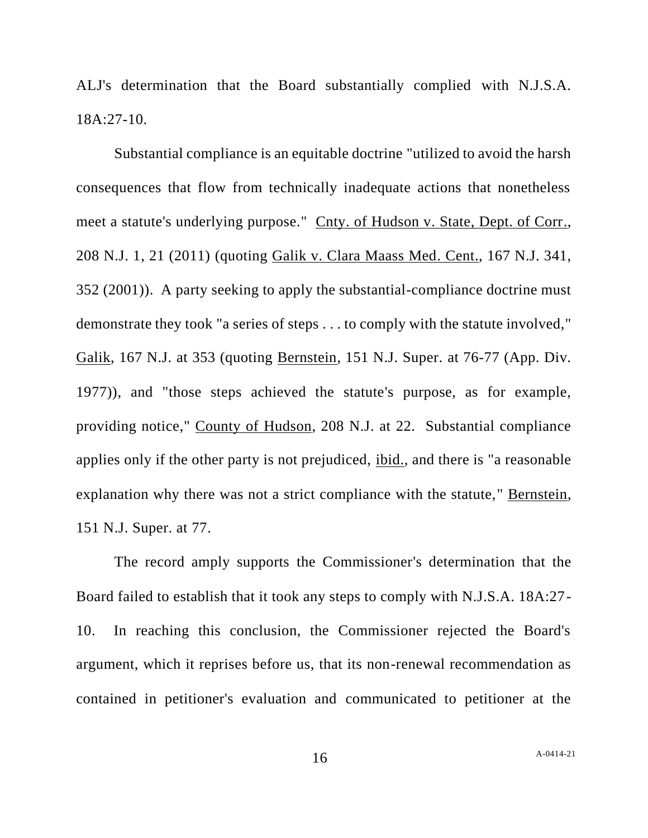ALJ's determination that the Board substantially complied with N.J.S.A. 18A:27-10.

Substantial compliance is an equitable doctrine "utilized to avoid the harsh consequences that flow from technically inadequate actions that nonetheless meet a statute's underlying purpose." Cnty. of Hudson v. State, Dept. of Corr., 208 N.J. 1, 21 (2011) (quoting Galik v. Clara Maass Med. Cent., 167 N.J. 341, 352 (2001)). A party seeking to apply the substantial-compliance doctrine must demonstrate they took "a series of steps . . . to comply with the statute involved," Galik, 167 N.J. at 353 (quoting Bernstein, 151 N.J. Super. at 76-77 (App. Div. 1977)), and "those steps achieved the statute's purpose, as for example, providing notice," County of Hudson, 208 N.J. at 22. Substantial compliance applies only if the other party is not prejudiced, ibid., and there is "a reasonable explanation why there was not a strict compliance with the statute," Bernstein, 151 N.J. Super. at 77.

The record amply supports the Commissioner's determination that the Board failed to establish that it took any steps to comply with N.J.S.A. 18A:27- 10. In reaching this conclusion, the Commissioner rejected the Board's argument, which it reprises before us, that its non-renewal recommendation as contained in petitioner's evaluation and communicated to petitioner at the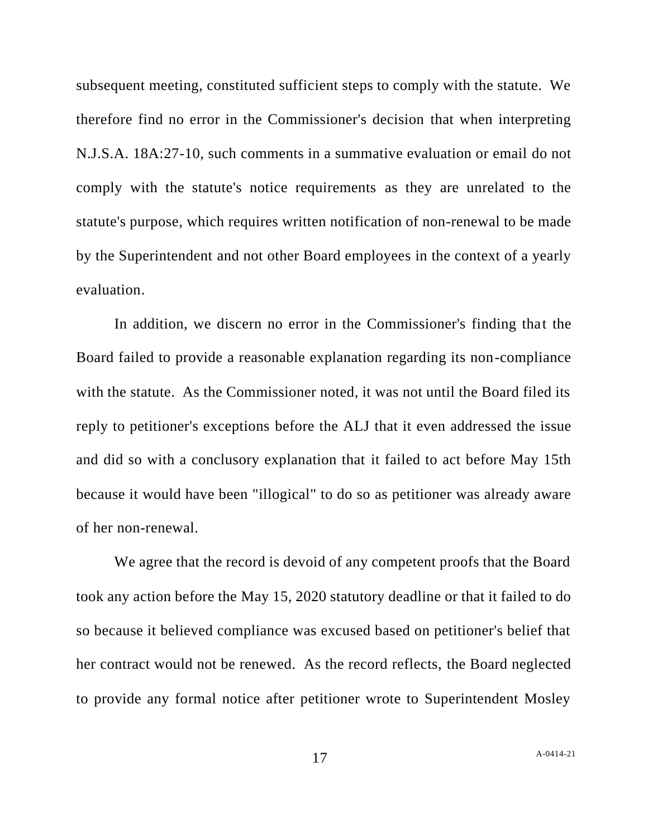subsequent meeting, constituted sufficient steps to comply with the statute. We therefore find no error in the Commissioner's decision that when interpreting N.J.S.A. 18A:27-10, such comments in a summative evaluation or email do not comply with the statute's notice requirements as they are unrelated to the statute's purpose, which requires written notification of non-renewal to be made by the Superintendent and not other Board employees in the context of a yearly evaluation.

In addition, we discern no error in the Commissioner's finding that the Board failed to provide a reasonable explanation regarding its non-compliance with the statute. As the Commissioner noted, it was not until the Board filed its reply to petitioner's exceptions before the ALJ that it even addressed the issue and did so with a conclusory explanation that it failed to act before May 15th because it would have been "illogical" to do so as petitioner was already aware of her non-renewal.

We agree that the record is devoid of any competent proofs that the Board took any action before the May 15, 2020 statutory deadline or that it failed to do so because it believed compliance was excused based on petitioner's belief that her contract would not be renewed. As the record reflects, the Board neglected to provide any formal notice after petitioner wrote to Superintendent Mosley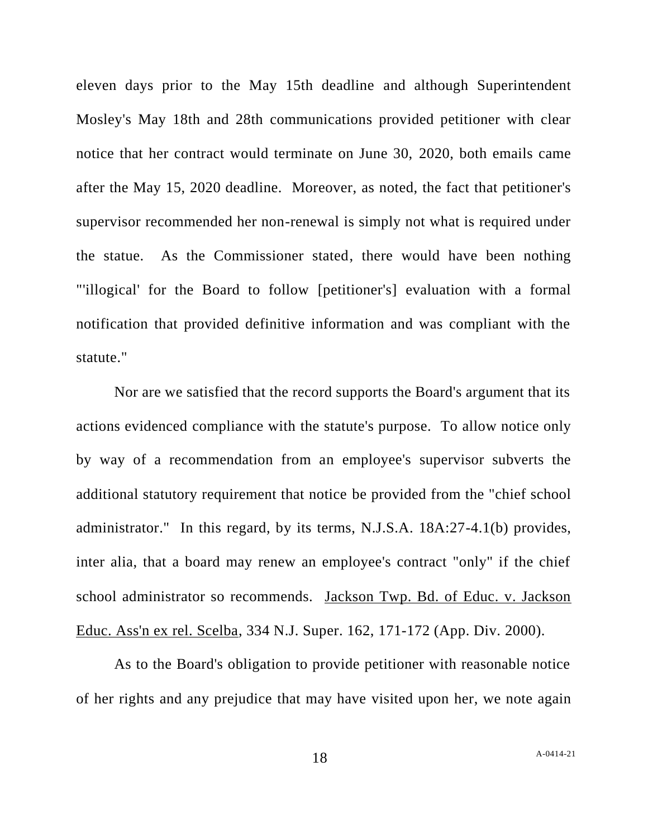eleven days prior to the May 15th deadline and although Superintendent Mosley's May 18th and 28th communications provided petitioner with clear notice that her contract would terminate on June 30, 2020, both emails came after the May 15, 2020 deadline. Moreover, as noted, the fact that petitioner's supervisor recommended her non-renewal is simply not what is required under the statue. As the Commissioner stated, there would have been nothing "'illogical' for the Board to follow [petitioner's] evaluation with a formal notification that provided definitive information and was compliant with the statute."

Nor are we satisfied that the record supports the Board's argument that its actions evidenced compliance with the statute's purpose. To allow notice only by way of a recommendation from an employee's supervisor subverts the additional statutory requirement that notice be provided from the "chief school administrator." In this regard, by its terms, N.J.S.A. 18A:27-4.1(b) provides, inter alia, that a board may renew an employee's contract "only" if the chief school administrator so recommends. Jackson Twp. Bd. of Educ. v. Jackson Educ. Ass'n ex rel. Scelba, 334 N.J. Super. 162, 171-172 (App. Div. 2000).

As to the Board's obligation to provide petitioner with reasonable notice of her rights and any prejudice that may have visited upon her, we note again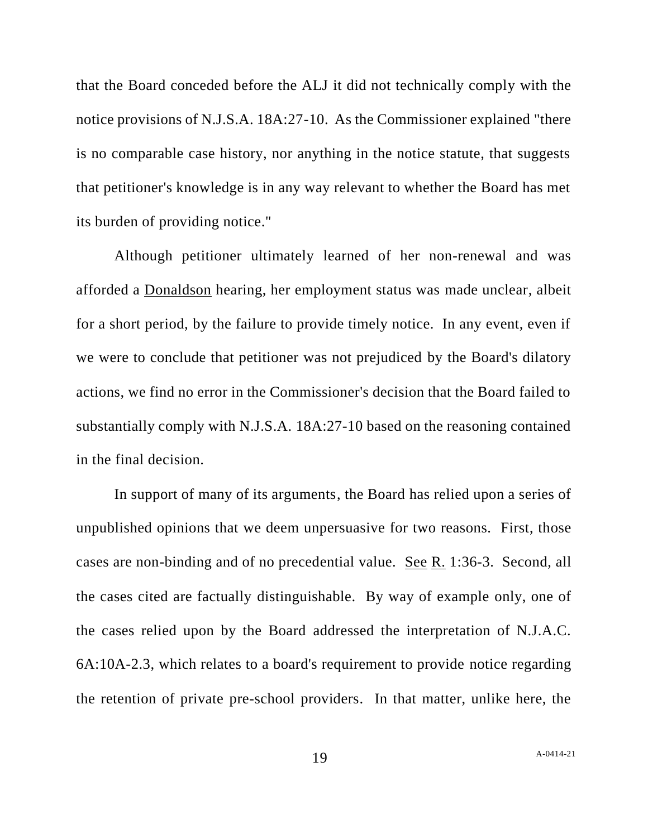that the Board conceded before the ALJ it did not technically comply with the notice provisions of N.J.S.A. 18A:27-10. As the Commissioner explained "there is no comparable case history, nor anything in the notice statute, that suggests that petitioner's knowledge is in any way relevant to whether the Board has met its burden of providing notice."

Although petitioner ultimately learned of her non-renewal and was afforded a Donaldson hearing, her employment status was made unclear, albeit for a short period, by the failure to provide timely notice. In any event, even if we were to conclude that petitioner was not prejudiced by the Board's dilatory actions, we find no error in the Commissioner's decision that the Board failed to substantially comply with N.J.S.A. 18A:27-10 based on the reasoning contained in the final decision.

In support of many of its arguments, the Board has relied upon a series of unpublished opinions that we deem unpersuasive for two reasons. First, those cases are non-binding and of no precedential value. See R. 1:36-3. Second, all the cases cited are factually distinguishable. By way of example only, one of the cases relied upon by the Board addressed the interpretation of N.J.A.C. 6A:10A-2.3, which relates to a board's requirement to provide notice regarding the retention of private pre-school providers. In that matter, unlike here, the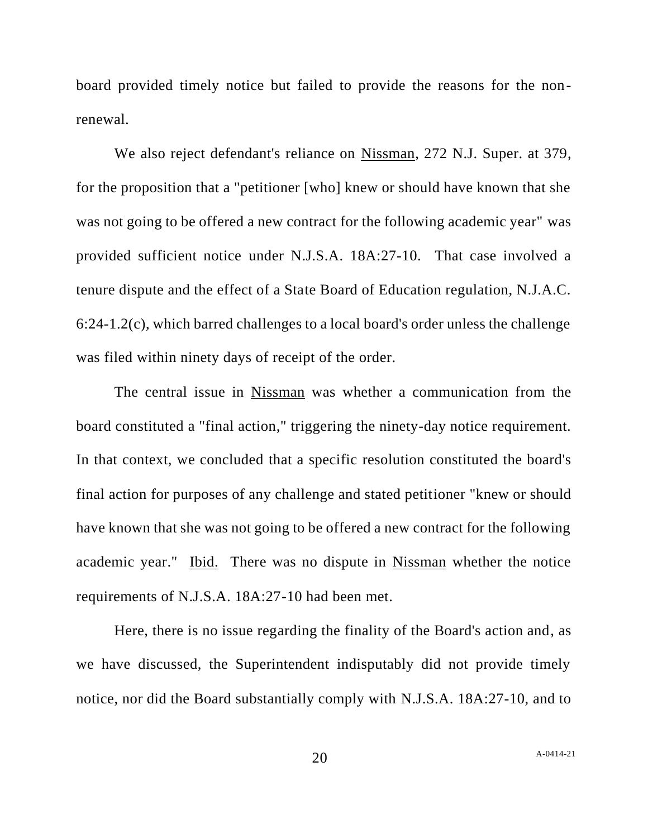board provided timely notice but failed to provide the reasons for the nonrenewal.

We also reject defendant's reliance on Nissman, 272 N.J. Super. at 379, for the proposition that a "petitioner [who] knew or should have known that she was not going to be offered a new contract for the following academic year" was provided sufficient notice under N.J.S.A. 18A:27-10. That case involved a tenure dispute and the effect of a State Board of Education regulation, N.J.A.C. 6:24-1.2(c), which barred challenges to a local board's order unless the challenge was filed within ninety days of receipt of the order.

The central issue in Nissman was whether a communication from the board constituted a "final action," triggering the ninety-day notice requirement. In that context, we concluded that a specific resolution constituted the board's final action for purposes of any challenge and stated petitioner "knew or should have known that she was not going to be offered a new contract for the following academic year." Ibid. There was no dispute in Nissman whether the notice requirements of N.J.S.A. 18A:27-10 had been met.

Here, there is no issue regarding the finality of the Board's action and, as we have discussed, the Superintendent indisputably did not provide timely notice, nor did the Board substantially comply with N.J.S.A. 18A:27-10, and to